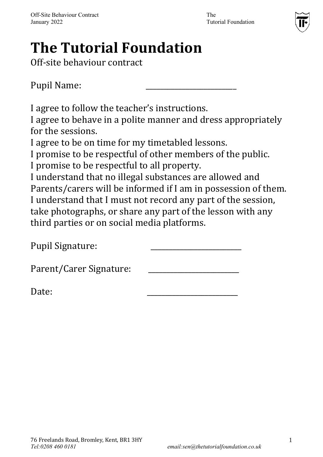

# **The Tutorial Foundation**

Off-site behaviour contract

Pupil Name:

I agree to follow the teacher's instructions.

I agree to behave in a polite manner and dress appropriately for the sessions.

I agree to be on time for my timetabled lessons.

I promise to be respectful of other members of the public.

I promise to be respectful to all property.

I understand that no illegal substances are allowed and Parents/carers will be informed if I am in possession of them. I understand that I must not record any part of the session, take photographs, or share any part of the lesson with any third parties or on social media platforms.

Pupil Signature:

Parent/Carer Signature:

Date: \_\_\_\_\_\_\_\_\_\_\_\_\_\_\_\_\_\_\_\_\_\_\_\_\_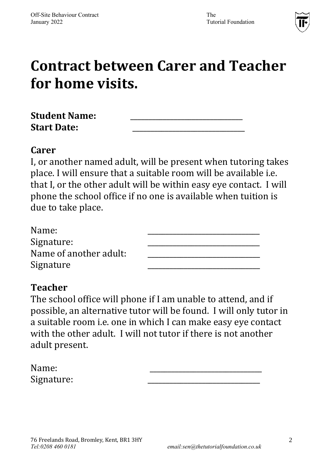

## **Contract between Carer and Teacher for home visits.**

| <b>Student Name:</b> |  |
|----------------------|--|
| <b>Start Date:</b>   |  |

#### **Carer**

I, or another named adult, will be present when tutoring takes place. I will ensure that a suitable room will be available i.e. that I, or the other adult will be within easy eye contact. I will phone the school office if no one is available when tuition is due to take place.

| Name:                  |  |
|------------------------|--|
| Signature:             |  |
| Name of another adult: |  |
| Signature              |  |

### **Teacher**

The school office will phone if I am unable to attend, and if possible, an alternative tutor will be found. I will only tutor in a suitable room i.e. one in which I can make easy eye contact with the other adult. I will not tutor if there is not another adult present.

| Name:      |  |
|------------|--|
| Signature: |  |